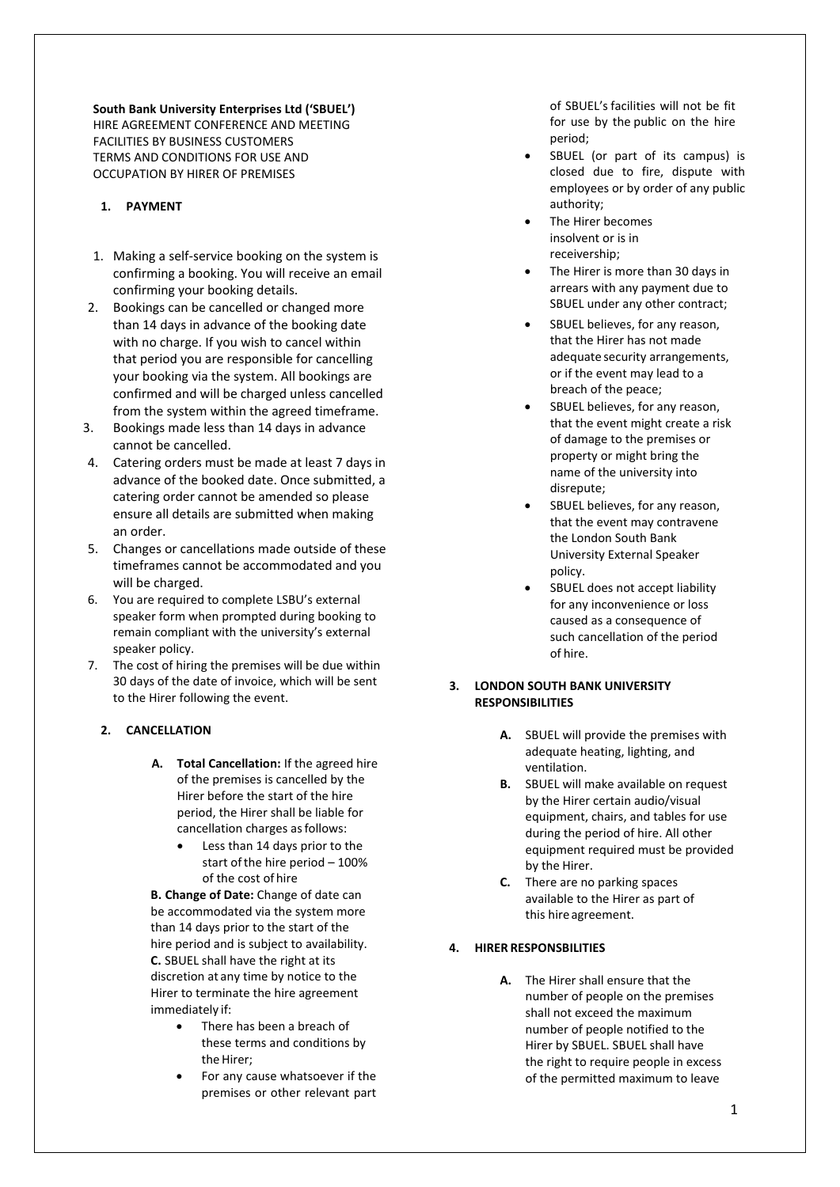**South Bank University Enterprises Ltd ('SBUEL')** HIRE AGREEMENT CONFERENCE AND MEETING FACILITIES BY BUSINESS CUSTOMERS TERMS AND CONDITIONS FOR USE AND OCCUPATION BY HIRER OF PREMISES

# **1. PAYMENT**

- 1. Making a self-service booking on the system is confirming a booking. You will receive an email confirming your booking details.
- 2. Bookings can be cancelled or changed more than 14 days in advance of the booking date with no charge. If you wish to cancel within that period you are responsible for cancelling your booking via the system. All bookings are confirmed and will be charged unless cancelled from the system within the agreed timeframe.
- 3. Bookings made less than 14 days in advance cannot be cancelled.
- 4. Catering orders must be made at least 7 days in advance of the booked date. Once submitted, a catering order cannot be amended so please ensure all details are submitted when making an order.
- 5. Changes or cancellations made outside of these timeframes cannot be accommodated and you will be charged.
- 6. You are required to complete LSBU's external speaker form when prompted during booking to remain compliant with the university's external speaker policy.
- 7. The cost of hiring the premises will be due within 30 days of the date of invoice, which will be sent to the Hirer following the event.

# **2. CANCELLATION**

- **A. Total Cancellation:** If the agreed hire of the premises is cancelled by the Hirer before the start of the hire period, the Hirer shall be liable for cancellation charges as follows:
	- Less than 14 days prior to the start of the hire period  $-100\%$ of the cost of hire

**B. Change of Date:** Change of date can be accommodated via the system more than 14 days prior to the start of the hire period and is subject to availability. **C.** SBUEL shall have the right at its discretion at any time by notice to the Hirer to terminate the hire agreement immediately if:

- There has been a breach of these terms and conditions by the Hirer:
- For any cause whatsoever if the premises or other relevant part

of SBUEL's facilities will not be fit for use by the public on the hire period;

- SBUEL (or part of its campus) is closed due to fire, dispute with employees or by order of any public authority;
- The Hirer becomes insolvent or is in receivership;
- The Hirer is more than 30 days in arrears with any payment due to SBUEL under any other contract;
- SBUEL believes, for any reason, that the Hirer has not made adequate security arrangements, or if the event may lead to a breach of the peace;
- SBUEL believes, for any reason, that the event might create a risk of damage to the premises or property or might bring the name of the university into disrepute;
- SBUEL believes, for any reason, that the event may contravene the London South Bank University External Speaker policy.
- SBUEL does not accept liability for any inconvenience or loss caused as a consequence of such cancellation of the period of hire.

# **3. LONDON SOUTH BANK UNIVERSITY RESPONSIBILITIES**

- **A.** SBUEL will provide the premises with adequate heating, lighting, and ventilation.
- **B.** SBUEL will make available on request by the Hirer certain audio/visual equipment, chairs, and tables for use during the period of hire. All other equipment required must be provided by the Hirer.
- **C.** There are no parking spaces available to the Hirer as part of this hire agreement.
- **4. HIRER RESPONSBILITIES**
	- **A.** The Hirer shall ensure that the number of people on the premises shall not exceed the maximum number of people notified to the Hirer by SBUEL. SBUEL shall have the right to require people in excess of the permitted maximum to leave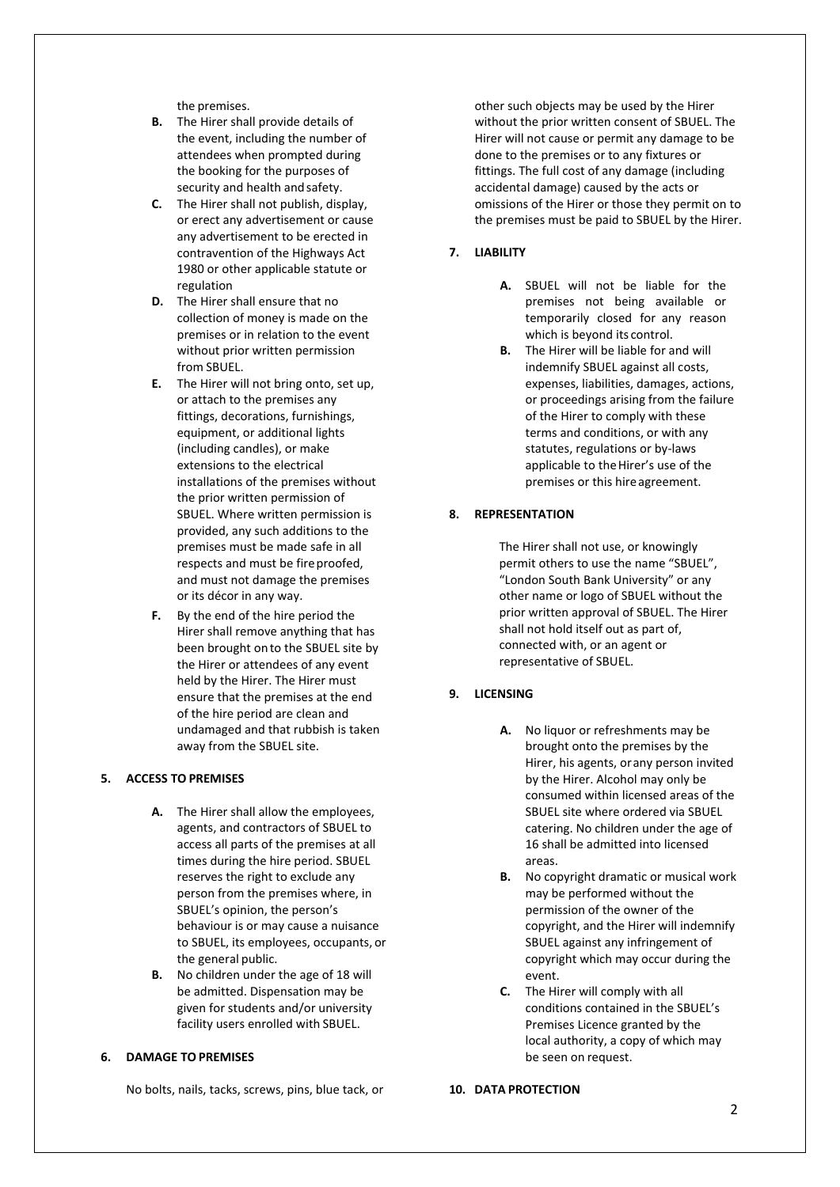the premises.

- **B.** The Hirer shall provide details of the event, including the number of attendees when prompted during the booking for the purposes of security and health and safety.
- **C.** The Hirer shall not publish, display, or erect any advertisement or cause any advertisement to be erected in contravention of the Highways Act 1980 or other applicable statute or regulation
- **D.** The Hirer shall ensure that no collection of money is made on the premises or in relation to the event without prior written permission from SBUEL.
- **E.** The Hirer will not bring onto, set up, or attach to the premises any fittings, decorations, furnishings, equipment, or additional lights (including candles), or make extensions to the electrical installations of the premises without the prior written permission of SBUEL. Where written permission is provided, any such additions to the premises must be made safe in all respects and must be fireproofed, and must not damage the premises or its décor in any way.
- **F.** By the end of the hire period the Hirer shall remove anything that has been brought onto the SBUEL site by the Hirer or attendees of any event held by the Hirer. The Hirer must ensure that the premises at the end of the hire period are clean and undamaged and that rubbish is taken away from the SBUEL site.

### **5. ACCESS TO PREMISES**

- **A.** The Hirer shall allow the employees, agents, and contractors of SBUEL to access all parts of the premises at all times during the hire period. SBUEL reserves the right to exclude any person from the premises where, in SBUEL's opinion, the person's behaviour is or may cause a nuisance to SBUEL, its employees, occupants, or the general public.
- **B.** No children under the age of 18 will be admitted. Dispensation may be given for students and/or university facility users enrolled with SBUEL.

## **6. DAMAGE TO PREMISES**

No bolts, nails, tacks, screws, pins, blue tack, or

other such objects may be used by the Hirer without the prior written consent of SBUEL. The Hirer will not cause or permit any damage to be done to the premises or to any fixtures or fittings. The full cost of any damage (including accidental damage) caused by the acts or omissions of the Hirer or those they permit on to the premises must be paid to SBUEL by the Hirer.

# **7. LIABILITY**

- **A.** SBUEL will not be liable for the premises not being available or temporarily closed for any reason which is beyond its control.
- **B.** The Hirer will be liable for and will indemnify SBUEL against all costs, expenses, liabilities, damages, actions, or proceedings arising from the failure of the Hirer to comply with these terms and conditions, or with any statutes, regulations or by-laws applicable to the Hirer's use of the premises or this hire agreement.

## **8. REPRESENTATION**

The Hirer shall not use, or knowingly permit others to use the name "SBUEL", "London South Bank University" or any other name or logo of SBUEL without the prior written approval of SBUEL. The Hirer shall not hold itself out as part of, connected with, or an agent or representative of SBUEL.

## **9. LICENSING**

- **A.** No liquor or refreshments may be brought onto the premises by the Hirer, his agents, orany person invited by the Hirer. Alcohol may only be consumed within licensed areas of the SBUEL site where ordered via SBUEL catering. No children under the age of 16 shall be admitted into licensed areas.
- **B.** No copyright dramatic or musical work may be performed without the permission of the owner of the copyright, and the Hirer will indemnify SBUEL against any infringement of copyright which may occur during the event.
- **C.** The Hirer will comply with all conditions contained in the SBUEL's Premises Licence granted by the local authority, a copy of which may be seen on request.

#### **10. DATA PROTECTION**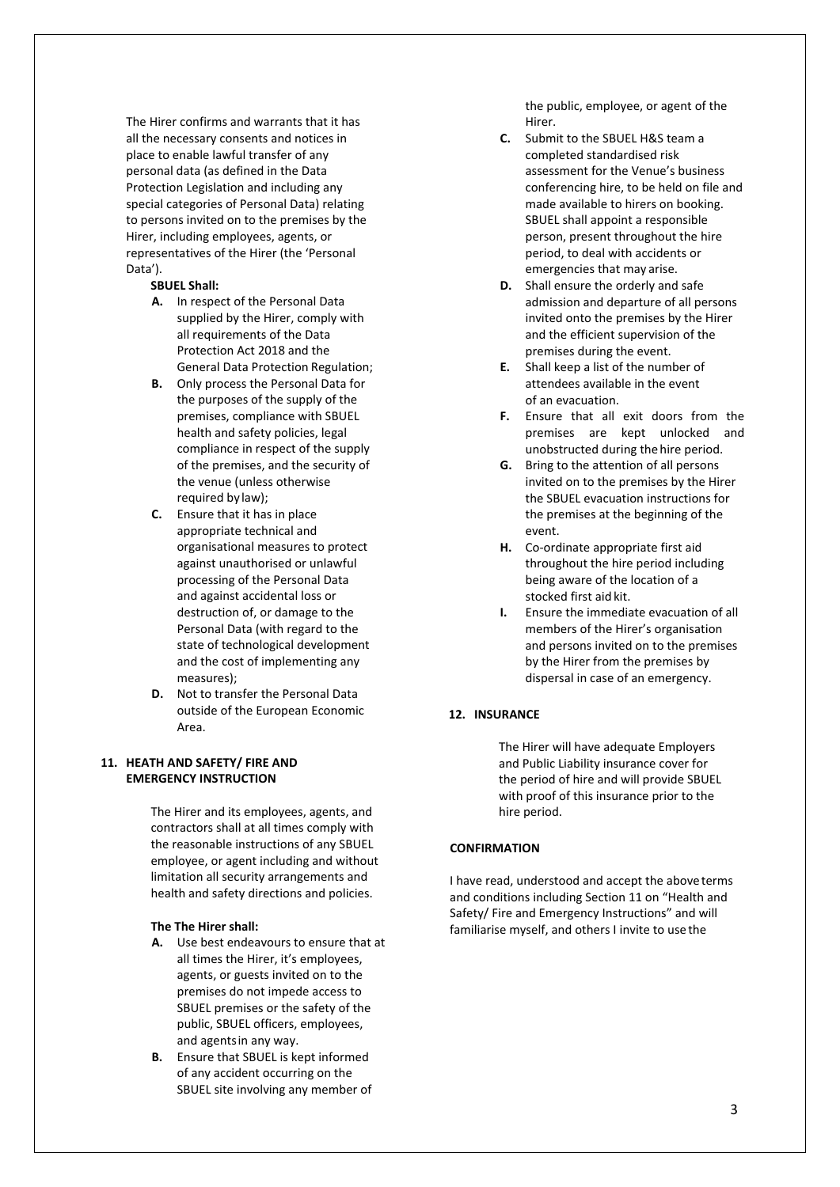The Hirer confirms and warrants that it has all the necessary consents and notices in place to enable lawful transfer of any personal data (as defined in the Data Protection Legislation and including any special categories of Personal Data) relating to persons invited on to the premises by the Hirer, including employees, agents, or representatives of the Hirer (the 'Personal Data').

#### **SBUEL Shall:**

- **A.** In respect of the Personal Data supplied by the Hirer, comply with all requirements of the Data Protection Act 2018 and the General Data Protection Regulation;
- **B.** Only process the Personal Data for the purposes of the supply of the premises, compliance with SBUEL health and safety policies, legal compliance in respect of the supply of the premises, and the security of the venue (unless otherwise required by law);
- **C.** Ensure that it has in place appropriate technical and organisational measures to protect against unauthorised or unlawful processing of the Personal Data and against accidental loss or destruction of, or damage to the Personal Data (with regard to the state of technological development and the cost of implementing any measures);
- **D.** Not to transfer the Personal Data outside of the European Economic Area.

# **11. HEATH AND SAFETY/ FIRE AND EMERGENCY INSTRUCTION**

The Hirer and its employees, agents, and contractors shall at all times comply with the reasonable instructions of any SBUEL employee, or agent including and without limitation all security arrangements and health and safety directions and policies.

#### **The The Hirer shall:**

- **A.** Use best endeavours to ensure that at all times the Hirer, it's employees, agents, or guests invited on to the premises do not impede access to SBUEL premises or the safety of the public, SBUEL officers, employees, and agentsin any way.
- **B.** Ensure that SBUEL is kept informed of any accident occurring on the SBUEL site involving any member of

the public, employee, or agent of the Hirer.

- **C.** Submit to the SBUEL H&S team a completed standardised risk assessment for the Venue's business conferencing hire, to be held on file and made available to hirers on booking. SBUEL shall appoint a responsible person, present throughout the hire period, to deal with accidents or emergencies that may arise.
- **D.** Shall ensure the orderly and safe admission and departure of all persons invited onto the premises by the Hirer and the efficient supervision of the premises during the event.
- **E.** Shall keep a list of the number of attendees available in the event of an evacuation.
- **F.** Ensure that all exit doors from the premises are kept unlocked and unobstructed during thehire period.
- **G.** Bring to the attention of all persons invited on to the premises by the Hirer the SBUEL evacuation instructions for the premises at the beginning of the event.
- **H.** Co-ordinate appropriate first aid throughout the hire period including being aware of the location of a stocked first aid kit.
- **I.** Ensure the immediate evacuation of all members of the Hirer's organisation and persons invited on to the premises by the Hirer from the premises by dispersal in case of an emergency.

# **12. INSURANCE**

The Hirer will have adequate Employers and Public Liability insurance cover for the period of hire and will provide SBUEL with proof of this insurance prior to the hire period.

# **CONFIRMATION**

I have read, understood and accept the aboveterms and conditions including Section 11 on "Health and Safety/ Fire and Emergency Instructions" and will familiarise myself, and others I invite to use the